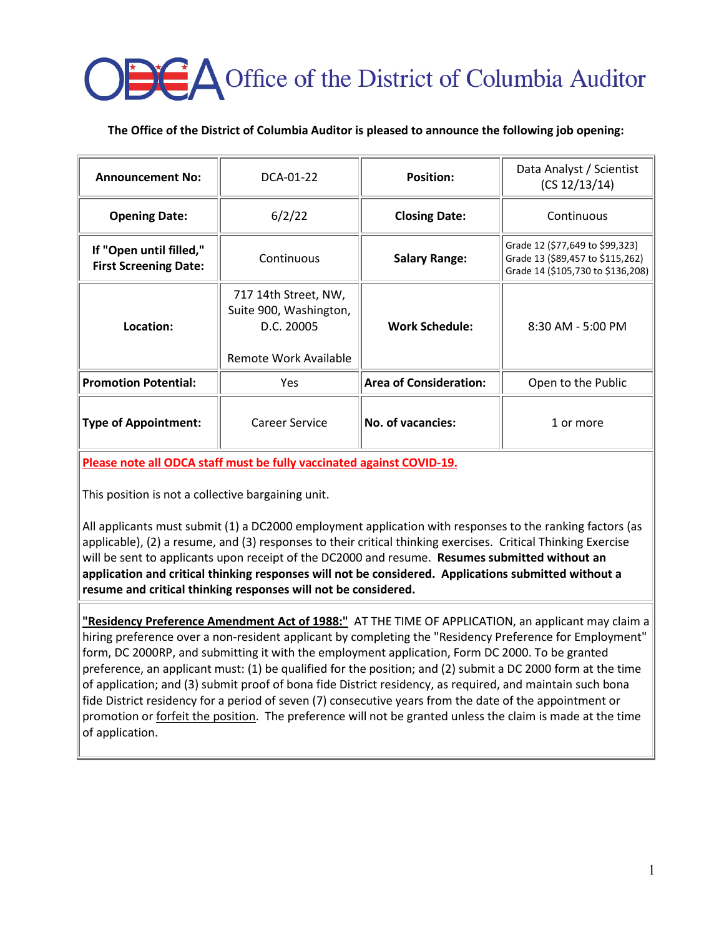# **CA** Office of the District of Columbia Auditor

## **The Office of the District of Columbia Auditor is pleased to announce the following job opening:**

| <b>Announcement No:</b>                                 | DCA-01-22                                                                             | <b>Position:</b>              | Data Analyst / Scientist<br>(CS 12/13/14)                                                                |
|---------------------------------------------------------|---------------------------------------------------------------------------------------|-------------------------------|----------------------------------------------------------------------------------------------------------|
| <b>Opening Date:</b>                                    | 6/2/22                                                                                | <b>Closing Date:</b>          | Continuous                                                                                               |
| If "Open until filled,"<br><b>First Screening Date:</b> | Continuous                                                                            | <b>Salary Range:</b>          | Grade 12 (\$77,649 to \$99,323)<br>Grade 13 (\$89,457 to \$115,262)<br>Grade 14 (\$105,730 to \$136,208) |
| Location:                                               | 717 14th Street, NW,<br>Suite 900, Washington,<br>D.C. 20005<br>Remote Work Available | <b>Work Schedule:</b>         | $8:30$ AM - 5:00 PM                                                                                      |
| <b>Promotion Potential:</b>                             | Yes.                                                                                  | <b>Area of Consideration:</b> | Open to the Public                                                                                       |
| <b>Type of Appointment:</b>                             | Career Service                                                                        | No. of vacancies:             | 1 or more                                                                                                |

**Please note all ODCA staff must be fully vaccinated against COVID-19.**

This position is not a collective bargaining unit.

All applicants must submit (1) a DC2000 employment application with responses to the ranking factors (as applicable), (2) a resume, and (3) responses to their critical thinking exercises. Critical Thinking Exercise will be sent to applicants upon receipt of the DC2000 and resume. **Resumes submitted without an application and critical thinking responses will not be considered. Applications submitted without a resume and critical thinking responses will not be considered.**

**"Residency Preference Amendment Act of 1988:"** AT THE TIME OF APPLICATION, an applicant may claim a hiring preference over a non-resident applicant by completing the "Residency Preference for Employment" form, DC 2000RP, and submitting it with the employment application, Form DC 2000. To be granted preference, an applicant must: (1) be qualified for the position; and (2) submit a DC 2000 form at the time of application; and (3) submit proof of bona fide District residency, as required, and maintain such bona fide District residency for a period of seven (7) consecutive years from the date of the appointment or promotion or **forfeit the position**. The preference will not be granted unless the claim is made at the time of application.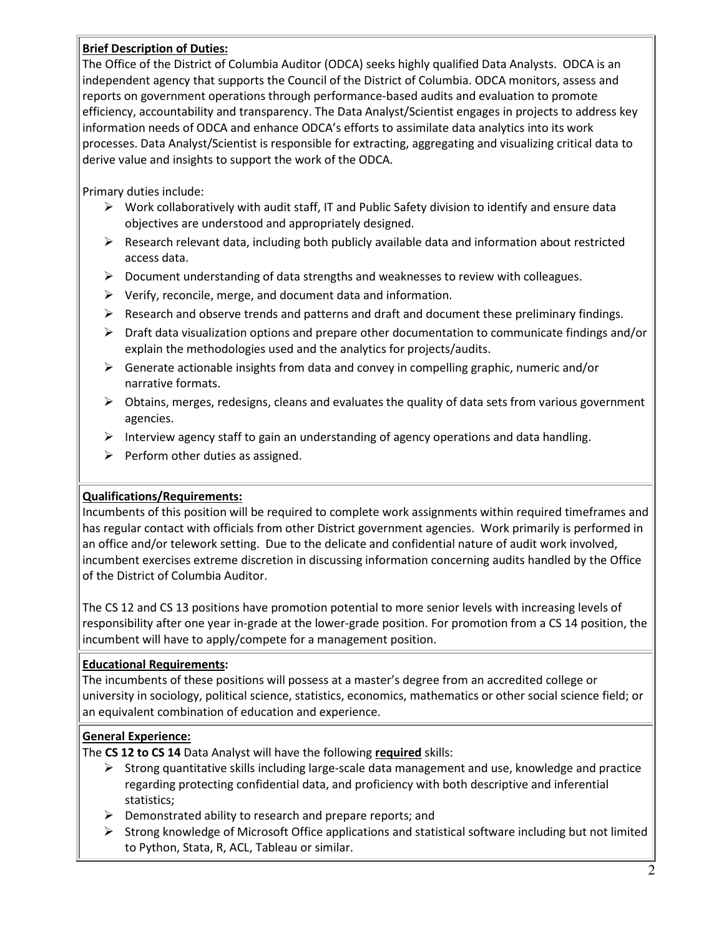## **Brief Description of Duties:**

The Office of the District of Columbia Auditor (ODCA) seeks highly qualified Data Analysts. ODCA is an independent agency that supports the Council of the District of Columbia. ODCA monitors, assess and reports on government operations through performance-based audits and evaluation to promote efficiency, accountability and transparency. The Data Analyst/Scientist engages in projects to address key information needs of ODCA and enhance ODCA's efforts to assimilate data analytics into its work processes. Data Analyst/Scientist is responsible for extracting, aggregating and visualizing critical data to derive value and insights to support the work of the ODCA.

Primary duties include:

- Work collaboratively with audit staff, IT and Public Safety division to identify and ensure data objectives are understood and appropriately designed.
- $\triangleright$  Research relevant data, including both publicly available data and information about restricted access data.
- $\triangleright$  Document understanding of data strengths and weaknesses to review with colleagues.
- $\triangleright$  Verify, reconcile, merge, and document data and information.
- $\triangleright$  Research and observe trends and patterns and draft and document these preliminary findings.
- $\triangleright$  Draft data visualization options and prepare other documentation to communicate findings and/or explain the methodologies used and the analytics for projects/audits.
- $\triangleright$  Generate actionable insights from data and convey in compelling graphic, numeric and/or narrative formats.
- $\triangleright$  Obtains, merges, redesigns, cleans and evaluates the quality of data sets from various government agencies.
- Interview agency staff to gain an understanding of agency operations and data handling.
- $\triangleright$  Perform other duties as assigned.

## **Qualifications/Requirements:**

Incumbents of this position will be required to complete work assignments within required timeframes and has regular contact with officials from other District government agencies. Work primarily is performed in an office and/or telework setting. Due to the delicate and confidential nature of audit work involved, incumbent exercises extreme discretion in discussing information concerning audits handled by the Office of the District of Columbia Auditor.

The CS 12 and CS 13 positions have promotion potential to more senior levels with increasing levels of responsibility after one year in-grade at the lower-grade position. For promotion from a CS 14 position, the incumbent will have to apply/compete for a management position.

## **Educational Requirements:**

The incumbents of these positions will possess at a master's degree from an accredited college or university in sociology, political science, statistics, economics, mathematics or other social science field; or an equivalent combination of education and experience.

## **General Experience:**

The **CS 12 to CS 14** Data Analyst will have the following **required** skills:

- $\triangleright$  Strong quantitative skills including large-scale data management and use, knowledge and practice regarding protecting confidential data, and proficiency with both descriptive and inferential statistics;
- $\triangleright$  Demonstrated ability to research and prepare reports; and
- $\triangleright$  Strong knowledge of Microsoft Office applications and statistical software including but not limited to Python, Stata, R, ACL, Tableau or similar.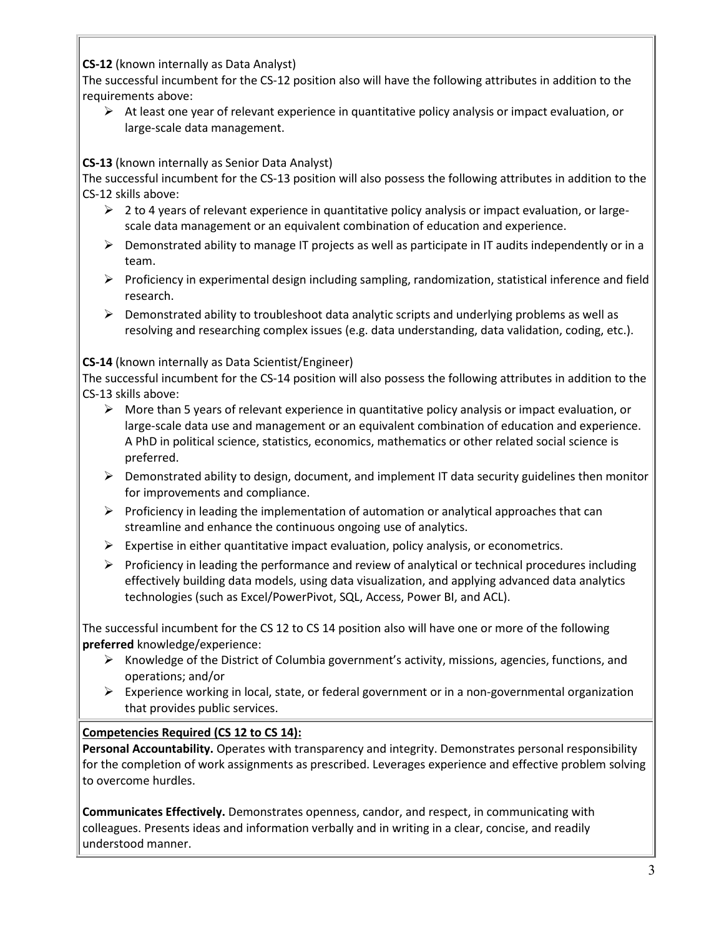**CS-12** (known internally as Data Analyst)

The successful incumbent for the CS-12 position also will have the following attributes in addition to the requirements above:

 $\triangleright$  At least one year of relevant experience in quantitative policy analysis or impact evaluation, or large-scale data management.

**CS-13** (known internally as Senior Data Analyst)

The successful incumbent for the CS-13 position will also possess the following attributes in addition to the CS-12 skills above:

- $\triangleright$  2 to 4 years of relevant experience in quantitative policy analysis or impact evaluation, or largescale data management or an equivalent combination of education and experience.
- $\triangleright$  Demonstrated ability to manage IT projects as well as participate in IT audits independently or in a team.
- $\triangleright$  Proficiency in experimental design including sampling, randomization, statistical inference and field research.
- $\triangleright$  Demonstrated ability to troubleshoot data analytic scripts and underlying problems as well as resolving and researching complex issues (e.g. data understanding, data validation, coding, etc.).

**CS-14** (known internally as Data Scientist/Engineer)

The successful incumbent for the CS-14 position will also possess the following attributes in addition to the CS-13 skills above:

- $\triangleright$  More than 5 years of relevant experience in quantitative policy analysis or impact evaluation, or large-scale data use and management or an equivalent combination of education and experience. A PhD in political science, statistics, economics, mathematics or other related social science is preferred.
- $\triangleright$  Demonstrated ability to design, document, and implement IT data security guidelines then monitor for improvements and compliance.
- $\triangleright$  Proficiency in leading the implementation of automation or analytical approaches that can streamline and enhance the continuous ongoing use of analytics.
- $\triangleright$  Expertise in either quantitative impact evaluation, policy analysis, or econometrics.
- $\triangleright$  Proficiency in leading the performance and review of analytical or technical procedures including effectively building data models, using data visualization, and applying advanced data analytics technologies (such as Excel/PowerPivot, SQL, Access, Power BI, and ACL).

The successful incumbent for the CS 12 to CS 14 position also will have one or more of the following **preferred** knowledge/experience:

- $\triangleright$  Knowledge of the District of Columbia government's activity, missions, agencies, functions, and operations; and/or
- $\triangleright$  Experience working in local, state, or federal government or in a non-governmental organization that provides public services.

## **Competencies Required (CS 12 to CS 14):**

**Personal Accountability.** Operates with transparency and integrity. Demonstrates personal responsibility for the completion of work assignments as prescribed. Leverages experience and effective problem solving to overcome hurdles.

**Communicates Effectively.** Demonstrates openness, candor, and respect, in communicating with colleagues. Presents ideas and information verbally and in writing in a clear, concise, and readily understood manner.